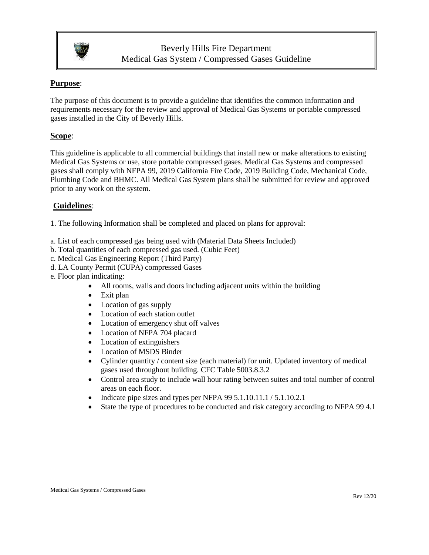

# Beverly Hills Fire Department Medical Gas System / Compressed Gases Guideline

# **Purpose**:

The purpose of this document is to provide a guideline that identifies the common information and requirements necessary for the review and approval of Medical Gas Systems or portable compressed gases installed in the City of Beverly Hills.

### **Scope**:

This guideline is applicable to all commercial buildings that install new or make alterations to existing Medical Gas Systems or use, store portable compressed gases. Medical Gas Systems and compressed gases shall comply with NFPA 99, 2019 California Fire Code, 2019 Building Code, Mechanical Code, Plumbing Code and BHMC. All Medical Gas System plans shall be submitted for review and approved prior to any work on the system.

## **Guidelines**:

1. The following Information shall be completed and placed on plans for approval:

- a. List of each compressed gas being used with (Material Data Sheets Included)
- b. Total quantities of each compressed gas used. (Cubic Feet)
- c. Medical Gas Engineering Report (Third Party)
- d. LA County Permit (CUPA) compressed Gases
- e. Floor plan indicating:
	- All rooms, walls and doors including adjacent units within the building
	- Exit plan
	- Location of gas supply
	- Location of each station outlet
	- Location of emergency shut off valves
	- Location of NFPA 704 placard
	- Location of extinguishers
	- Location of MSDS Binder
	- Cylinder quantity / content size (each material) for unit. Updated inventory of medical gases used throughout building. CFC Table 5003.8.3.2
	- Control area study to include wall hour rating between suites and total number of control areas on each floor.
	- Indicate pipe sizes and types per NFPA 99 5.1.10.11.1 / 5.1.10.2.1
	- State the type of procedures to be conducted and risk category according to NFPA 99 4.1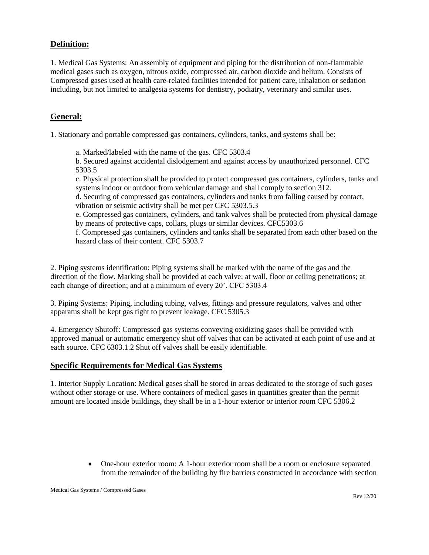# **Definition:**

1. Medical Gas Systems: An assembly of equipment and piping for the distribution of non-flammable medical gases such as oxygen, nitrous oxide, compressed air, carbon dioxide and helium. Consists of Compressed gases used at health care-related facilities intended for patient care, inhalation or sedation including, but not limited to analgesia systems for dentistry, podiatry, veterinary and similar uses.

# **General:**

1. Stationary and portable compressed gas containers, cylinders, tanks, and systems shall be:

a. Marked/labeled with the name of the gas. CFC 5303.4

b. Secured against accidental dislodgement and against access by unauthorized personnel. CFC 5303.5

c. Physical protection shall be provided to protect compressed gas containers, cylinders, tanks and systems indoor or outdoor from vehicular damage and shall comply to section 312.

d. Securing of compressed gas containers, cylinders and tanks from falling caused by contact, vibration or seismic activity shall be met per CFC 5303.5.3

e. Compressed gas containers, cylinders, and tank valves shall be protected from physical damage by means of protective caps, collars, plugs or similar devices. CFC5303.6

f. Compressed gas containers, cylinders and tanks shall be separated from each other based on the hazard class of their content. CFC 5303.7

2. Piping systems identification: Piping systems shall be marked with the name of the gas and the direction of the flow. Marking shall be provided at each valve; at wall, floor or ceiling penetrations; at each change of direction; and at a minimum of every 20'. CFC 5303.4

3. Piping Systems: Piping, including tubing, valves, fittings and pressure regulators, valves and other apparatus shall be kept gas tight to prevent leakage. CFC 5305.3

4. Emergency Shutoff: Compressed gas systems conveying oxidizing gases shall be provided with approved manual or automatic emergency shut off valves that can be activated at each point of use and at each source. CFC 6303.1.2 Shut off valves shall be easily identifiable.

#### **Specific Requirements for Medical Gas Systems**

1. Interior Supply Location: Medical gases shall be stored in areas dedicated to the storage of such gases without other storage or use. Where containers of medical gases in quantities greater than the permit amount are located inside buildings, they shall be in a 1-hour exterior or interior room CFC 5306.2

> One-hour exterior room: A 1-hour exterior room shall be a room or enclosure separated from the remainder of the building by fire barriers constructed in accordance with section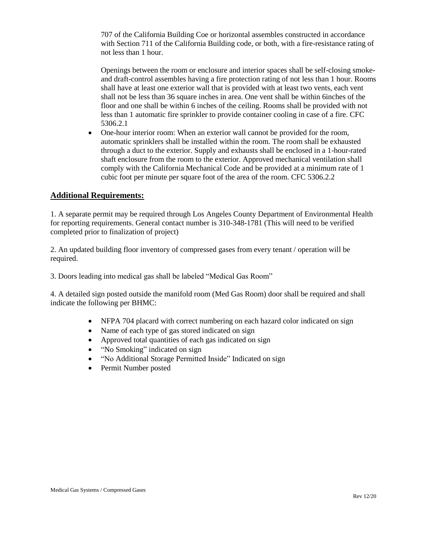707 of the California Building Coe or horizontal assembles constructed in accordance with Section 711 of the California Building code, or both, with a fire-resistance rating of not less than 1 hour.

Openings between the room or enclosure and interior spaces shall be self-closing smokeand draft-control assembles having a fire protection rating of not less than 1 hour. Rooms shall have at least one exterior wall that is provided with at least two vents, each vent shall not be less than 36 square inches in area. One vent shall be within 6inches of the floor and one shall be within 6 inches of the ceiling. Rooms shall be provided with not less than 1 automatic fire sprinkler to provide container cooling in case of a fire. CFC 5306.2.1

 One-hour interior room: When an exterior wall cannot be provided for the room, automatic sprinklers shall be installed within the room. The room shall be exhausted through a duct to the exterior. Supply and exhausts shall be enclosed in a 1-hour-rated shaft enclosure from the room to the exterior. Approved mechanical ventilation shall comply with the California Mechanical Code and be provided at a minimum rate of 1 cubic foot per minute per square foot of the area of the room. CFC 5306.2.2

#### **Additional Requirements:**

1. A separate permit may be required through Los Angeles County Department of Environmental Health for reporting requirements. General contact number is 310-348-1781 (This will need to be verified completed prior to finalization of project)

2. An updated building floor inventory of compressed gases from every tenant / operation will be required.

3. Doors leading into medical gas shall be labeled "Medical Gas Room"

4. A detailed sign posted outside the manifold room (Med Gas Room) door shall be required and shall indicate the following per BHMC:

- NFPA 704 placard with correct numbering on each hazard color indicated on sign
- Name of each type of gas stored indicated on sign
- Approved total quantities of each gas indicated on sign
- "No Smoking" indicated on sign
- "No Additional Storage Permitted Inside" Indicated on sign
- Permit Number posted